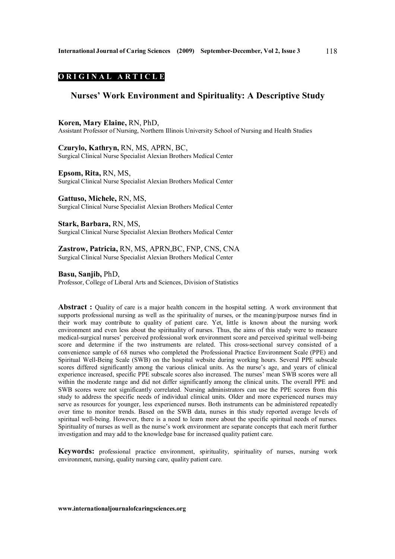# **O R I G I N A L A R T I C L E**

# **Nurses' Work Environment and Spirituality: A Descriptive Study**

## **Koren, Mary Elaine,** RN, PhD,

Assistant Professor of Nursing, Northern Illinois University School of Nursing and Health Studies

**Czurylo, Kathryn,** RN, MS, APRN, BC, Surgical Clinical Nurse Specialist Alexian Brothers Medical Center

# **Epsom, Rita,** RN, MS,

Surgical Clinical Nurse Specialist Alexian Brothers Medical Center

**Gattuso, Michele,** RN, MS, Surgical Clinical Nurse Specialist Alexian Brothers Medical Center

**Stark, Barbara,** RN, MS, Surgical Clinical Nurse Specialist Alexian Brothers Medical Center

# **Zastrow, Patricia,** RN, MS, APRN,BC, FNP, CNS, CNA Surgical Clinical Nurse Specialist Alexian Brothers Medical Center

**Basu, Sanjib,** PhD,

Professor, College of Liberal Arts and Sciences, Division of Statistics

**Abstract :** Quality of care is a major health concern in the hospital setting. A work environment that supports professional nursing as well as the spirituality of nurses, or the meaning/purpose nurses find in their work may contribute to quality of patient care. Yet, little is known about the nursing work environment and even less about the spirituality of nurses. Thus, the aims of this study were to measure medical-surgical nurses' perceived professional work environment score and perceived spiritual well-being score and determine if the two instruments are related. This cross-sectional survey consisted of a convenience sample of 68 nurses who completed the Professional Practice Environment Scale (PPE) and Spiritual Well-Being Scale (SWB) on the hospital website during working hours. Several PPE subscale scores differed significantly among the various clinical units. As the nurse's age, and years of clinical experience increased, specific PPE subscale scores also increased. The nurses' mean SWB scores were all within the moderate range and did not differ significantly among the clinical units. The overall PPE and SWB scores were not significantly correlated. Nursing administrators can use the PPE scores from this study to address the specific needs of individual clinical units. Older and more experienced nurses may serve as resources for younger, less experienced nurses. Both instruments can be administered repeatedly over time to monitor trends. Based on the SWB data, nurses in this study reported average levels of spiritual well-being. However, there is a need to learn more about the specific spiritual needs of nurses. Spirituality of nurses as well as the nurse's work environment are separate concepts that each merit further investigation and may add to the knowledge base for increased quality patient care.

**Keywords:** professional practice environment, spirituality, spirituality of nurses, nursing work environment, nursing, quality nursing care, quality patient care.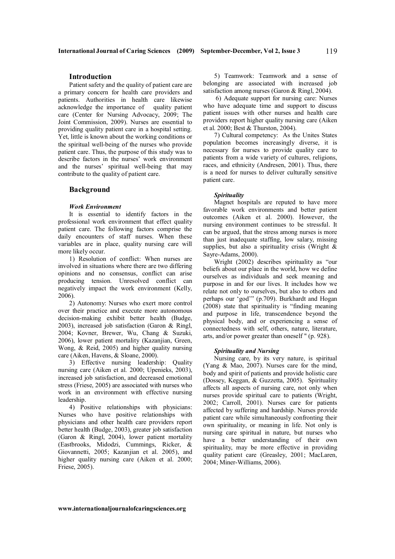# **Introduction**

Patient safety and the quality of patient care are a primary concern for health care providers and patients. Authorities in health care likewise acknowledge the importance of quality patient care (Center for Nursing Advocacy, 2009; The Joint Commission, 2009). Nurses are essential to providing quality patient care in a hospital setting. Yet, little is known about the working conditions or the spiritual well-being of the nurses who provide patient care. Thus, the purpose of this study was to describe factors in the nurses' work environment and the nurses' spiritual well-being that may contribute to the quality of patient care.

### **Background**

## *Work Environment*

It is essential to identify factors in the professional work environment that effect quality patient care. The following factors comprise the daily encounters of staff nurses. When these variables are in place, quality nursing care will more likely occur.

1) Resolution of conflict: When nurses are involved in situations where there are two differing opinions and no consensus, conflict can arise producing tension. Unresolved conflict can negatively impact the work environment (Kelly, 2006).

2) Autonomy: Nurses who exert more control over their practice and execute more autonomous decision-making exhibit better health (Budge, 2003), increased job satisfaction (Garon & Ringl, 2004; Kovner, Brewer, Wu, Chang & Suzuki, 2006), lower patient mortality (Kazanjian, Green, Wong, & Reid, 2005) and higher quality nursing care (Aiken, Havens, & Sloane, 2000).

3) Effective nursing leadership: Quality nursing care (Aiken et al. 2000; Upenieks, 2003), increased job satisfaction, and decreased emotional stress (Friese, 2005) are associated with nurses who work in an environment with effective nursing leadership.

4) Positive relationships with physicians: Nurses who have positive relationships with physicians and other health care providers report better health (Budge, 2003), greater job satisfaction (Garon & Ringl, 2004), lower patient mortality (Eastbrooks, Midodzi, Cummings, Ricker, & Giovannetti, 2005; Kazanjian et al. 2005), and higher quality nursing care (Aiken et al. 2000; Friese, 2005).

5) Teamwork: Teamwork and a sense of belonging are associated with increased job satisfaction among nurses (Garon & Ringl, 2004).

 6) Adequate support for nursing care: Nurses who have adequate time and support to discuss patient issues with other nurses and health care providers report higher quality nursing care (Aiken et al. 2000; Best & Thurston, 2004).

7) Cultural competency: As the Unites States population becomes increasingly diverse, it is necessary for nurses to provide quality care to patients from a wide variety of cultures, religions, races, and ethnicity (Andresen, 2001). Thus, there is a need for nurses to deliver culturally sensitive patient care.

#### *Spirituality*

Magnet hospitals are reputed to have more favorable work environments and better patient outcomes (Aiken et al. 2000). However, the nursing environment continues to be stressful. It can be argued, that the stress among nurses is more than just inadequate staffing, low salary, missing supplies, but also a spirituality crisis (Wright  $\&$ Sayre-Adams, 2000).

Wright (2002) describes spirituality as "our beliefs about our place in the world, how we define ourselves as individuals and seek meaning and purpose in and for our lives. It includes how we relate not only to ourselves, but also to others and perhaps our 'god'" (p.709). Burkhardt and Hogan (2008) state that spirituality is "finding meaning and purpose in life, transcendence beyond the physical body, and or experiencing a sense of connectedness with self, others, nature, literature, arts, and/or power greater than oneself " (p. 928).

#### *Spirituality and Nursing*

Nursing care, by its very nature, is spiritual (Yang & Mao, 2007). Nurses care for the mind, body and spirit of patients and provide holistic care (Dossey, Keggan, & Guzzetta, 2005). Spirituality affects all aspects of nursing care, not only when nurses provide spiritual care to patients (Wright, 2002; Carroll, 2001). Nurses care for patients affected by suffering and hardship. Nurses provide patient care while simultaneously confronting their own spirituality, or meaning in life. Not only is nursing care spiritual in nature, but nurses who have a better understanding of their own spirituality, may be more effective in providing quality patient care (Greasley, 2001; MacLaren, 2004; Miner-Williams, 2006).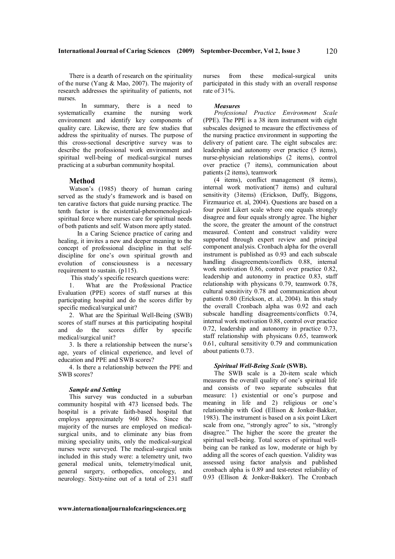There is a dearth of research on the spirituality of the nurse (Yang & Mao, 2007). The majority of research addresses the spirituality of patients, not nurses.

In summary, there is a need to systematically examine the nursing work environment and identify key components of quality care. Likewise, there are few studies that address the spirituality of nurses. The purpose of this cross-sectional descriptive survey was to describe the professional work environment and spiritual well-being of medical-surgical nurses practicing at a suburban community hospital.

# **Method**

Watson's (1985) theory of human caring served as the study's framework and is based on ten carative factors that guide nursing practice. The tenth factor is the existential-phenomenologicalspiritual force where nurses care for spiritual needs of both patients and self. Watson more aptly stated.

 In a Caring Science practice of caring and healing, it invites a new and deeper meaning to the concept of professional discipline in that selfdiscipline for one's own spiritual growth and evolution of consciousness is a necessary requirement to sustain. (p115).

This study's specific research questions were:

1. What are the Professional Practice Evaluation (PPE) scores of staff nurses at this participating hospital and do the scores differ by specific medical/surgical unit?

2. What are the Spiritual Well-Being (SWB) scores of staff nurses at this participating hospital and do the scores differ by specific medical/surgical unit?

3. Is there a relationship between the nurse's age, years of clinical experience, and level of education and PPE and SWB scores?

4. Is there a relationship between the PPE and SWB scores?

### *Sample and Setting*

This survey was conducted in a suburban community hospital with 473 licensed beds. The hospital is a private faith-based hospital that employs approximately 960 RNs. Since the majority of the nurses are employed on medicalsurgical units, and to eliminate any bias from mixing speciality units, only the medical-surgical nurses were surveyed. The medical-surgical units included in this study were: a telemetry unit, two general medical units, telemetry/medical unit, general surgery, orthopedics, oncology, and neurology. Sixty-nine out of a total of 231 staff nurses from these medical-surgical units participated in this study with an overall response rate of 31%.

#### *Measures*

*Professional Practice Environment Scale*  (PPE). The PPE is a 38 item instrument with eight subscales designed to measure the effectiveness of the nursing practice environment in supporting the delivery of patient care. The eight subscales are: leadership and autonomy over practice (5 items), nurse-physician relationships (2 items), control over practice (7 items), communication about patients (2 items), teamwork

(4 items), conflict management (8 items), internal work motivation(7 items) and cultural sensitivity (3items) (Erickson, Duffy, Biggons, Firzmaurice et. al, 2004). Questions are based on a four point Likert scale where one equals strongly disagree and four equals strongly agree. The higher the score, the greater the amount of the construct measured. Content and construct validity were supported through expert review and principal component analysis. Cronbach alpha for the overall instrument is published as 0.93 and each subscale handling disagreements/conflicts 0.88, internal work motivation 0.86, control over practice 0.82, leadership and autonomy in practice 0.83, staff relationship with physicans 0.79, teamwork 0.78, cultural sensitivity 0.78 and communication about patients 0.80 (Erickson, et. al, 2004). In this study the overall Cronbach alpha was 0.92 and each subscale handling disagreements/conflicts 0.74, internal work motivation 0.88, control over practice 0.72, leadership and autonomy in practice 0.73, staff relationship with physicans 0.65, teamwork 0.61, cultural sensitivity 0.79 and communication about patients 0.73.

#### *Spiritual Well-Being Scale* **(SWB).**

The SWB scale is a 20-item scale which measures the overall quality of one's spiritual life and consists of two separate subscales that measure: 1) existential or one's purpose and meaning in life and 2) religious or one's relationship with God (Ellison & Jonker-Bakker, 1983). The instrument is based on a six point Likert scale from one, "strongly agree" to six, "strongly disagree." The higher the score the greater the spiritual well-being. Total scores of spiritual wellbeing can be ranked as low, moderate or high by adding all the scores of each question. Validity was assessed using factor analysis and published cronbach alpha is 0.89 and test-retest reliability of 0.93 (Ellison & Jonker-Bakker). The Cronbach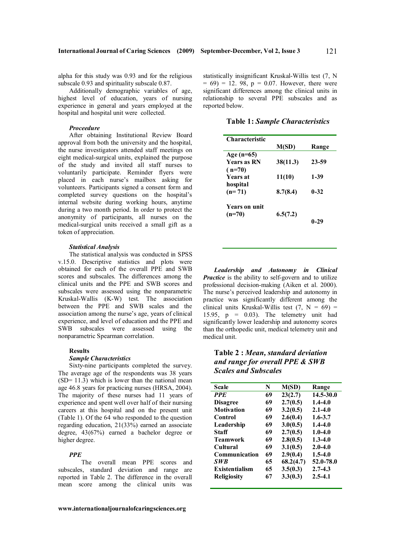121

alpha for this study was 0.93 and for the religious subscale 0.93 and spirituality subscale 0.87.

Additionally demographic variables of age, highest level of education, years of nursing experience in general and years employed at the hospital and hospital unit were collected.

## *Proceedure*

After obtaining Institutional Review Board approval from both the university and the hospital, the nurse investigators attended staff meetings on eight medical-surgical units, explained the purpose of the study and invited all staff nurses to voluntarily participate. Reminder flyers were placed in each nurse's mailbox asking for volunteers. Participants signed a consent form and completed survey questions on the hospital's internal website during working hours, anytime during a two month period. In order to protect the anonymity of participants, all nurses on the medical-surgical units received a small gift as a token of appreciation.

#### *Statistical Analysis*

The statistical analysis was conducted in SPSS v.15.0. Descriptive statistics and plots were obtained for each of the overall PPE and SWB scores and subscales. The differences among the clinical units and the PPE and SWB scores and subscales were assessed using the nonparametric Kruskal-Wallis (K-W) test. The association between the PPE and SWB scales and the association among the nurse's age, years of clinical experience, and level of education and the PPE and SWB subscales were assessed using the nonparametric Spearman correlation.

## **Results**

#### *Sample Characteristics*

Sixty-nine participants completed the survey. The average age of the respondents was 38 years  $(SD= 11.3)$  which is lower than the national mean age 46.8 years for practicing nurses (HRSA, 2004). The majority of these nurses had 11 years of experience and spent well over half of their nursing careers at this hospital and on the present unit (Table 1). Of the 64 who responded to the question regarding education, 21(33%) earned an associate degree, 43(67%) earned a bachelor degree or higher degree.

## *PPE*

The overall mean PPE scores and subscales, standard deviation and range are reported in Table 2. The difference in the overall mean score among the clinical units was

statistically insignificant Kruskal-Willis test (7, N  $= 69$ ) = 12. 98, p = 0.07. However, there were significant differences among the clinical units in relationship to several PPE subscales and as reported below.

**Table 1:** *Sample Characteristics*

| Characteristic       |          |          |
|----------------------|----------|----------|
|                      | M(SD)    | Range    |
| Age $(n=65)$         |          |          |
| <b>Years as RN</b>   | 38(11.3) | 23-59    |
| $(n=70)$             |          |          |
| <b>Years</b> at      | 11(10)   | 1-39     |
| hospital             |          |          |
| $(n=71)$             | 8.7(8.4) | $0 - 32$ |
|                      |          |          |
| <b>Years on unit</b> |          |          |
| $(n=70)$             | 6.5(7.2) |          |
|                      |          | $0 - 29$ |
|                      |          |          |

*Leadership and Autonomy in Clinical Practice* is the ability to self-govern and to utilize professional decision-making (Aiken et al. 2000). The nurse's perceived leadership and autonomy in practice was significantly different among the clinical units Kruskal-Willis test  $(7, N = 69)$  = 15.95,  $p = 0.03$ ). The telemetry unit had significantly lower leadership and autonomy scores than the orthopedic unit, medical telemetry unit and medical unit.

**Table 2 :** *Mean, standard deviation and range for overall PPE & SWB Scales and Subscales* 

| <b>Scale</b>          | N  | M(SD)     | Range       |
|-----------------------|----|-----------|-------------|
| <b>PPE</b>            | 69 | 23(2.7)   | 14.5-30.0   |
| <b>Disagree</b>       | 69 | 2.7(0.5)  | $1.4 - 4.0$ |
| <b>Motivation</b>     | 69 | 3.2(0.5)  | $2.1 - 4.0$ |
| Control               | 69 | 2.6(0.4)  | $1.6 - 3.7$ |
| Leadership            | 69 | 3.0(0.5)  | $1.4 - 4.0$ |
| Staff                 | 69 | 2.7(0.5)  | $1.0 - 4.0$ |
| <b>Teamwork</b>       | 69 | 2.8(0.5)  | $1.3 - 4.0$ |
| Cultural              | 69 | 3.1(0.5)  | $2.0 - 4.0$ |
| <b>Communication</b>  | 69 | 2.9(0.4)  | $1.5 - 4.0$ |
| SWB.                  | 65 | 68.2(4.7) | 52.0-78.0   |
| <b>Existentialism</b> | 65 | 3.5(0.3)  | $2.7 - 4.3$ |
| <b>Religiosity</b>    | 67 | 3.3(0.3)  | $2.5 - 4.1$ |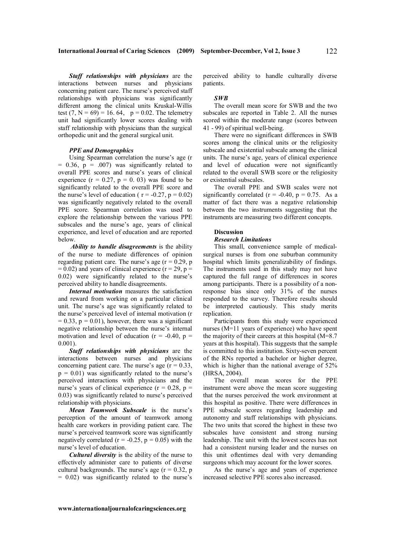*Staff relationships with physicians* are the interactions between nurses and physicians concerning patient care. The nurse's perceived staff relationships with physicians was significantly different among the clinical units Kruskal-Willis test  $(7, N = 69) = 16.64$ ,  $p = 0.02$ . The telemetry unit had significantly lower scores dealing with staff relationship with physicians than the surgical orthopedic unit and the general surgical unit.

## *PPE and Demographics*

Using Spearman correlation the nurse's age (r  $= 0.36$ ,  $p = .007$ ) was significantly related to overall PPE scores and nurse's years of clinical experience  $(r = 0.27, p = 0.03)$  was found to be significantly related to the overall PPE score and the nurse's level of education ( $r = -0.27$ ,  $p = 0.02$ ) was significantly negatively related to the overall PPE score. Spearman correlation was used to explore the relationship between the various PPE subscales and the nurse's age, years of clinical experience, and level of education and are reported below.

*Ability to handle disagreements* is the ability of the nurse to mediate differences of opinion regarding patient care. The nurse's age  $(r = 0.29, p$  $= 0.02$ ) and years of clinical experience (r = 29, p = 0.02) were significantly related to the nurse's perceived ability to handle disagreements.

*Internal motivation* measures the satisfaction and reward from working on a particular clinical unit. The nurse's age was significantly related to the nurse's perceived level of internal motivation (r  $= 0.33$ ,  $p = 0.01$ ), however, there was a significant negative relationship between the nurse's internal motivation and level of education  $(r = -0.40, p =$ 0.001).

*Staff relationships with physicians* are the interactions between nurses and physicians concerning patient care. The nurse's age  $(r = 0.33)$ ,  $p = 0.01$ ) was significantly related to the nurse's perceived interactions with physicians and the nurse's years of clinical experience ( $r = 0.28$ ,  $p =$ 0.03) was significantly related to nurse's perceived relationship with physicians.

*Mean Teamwork Subscale* is the nurse's perception of the amount of teamwork among health care workers in providing patient care. The nurse's perceived teamwork score was significantly negatively correlated  $(r = -0.25, p = 0.05)$  with the nurse's level of education.

*Cultural diversity* is the ability of the nurse to effectively administer care to patients of diverse cultural backgrounds. The nurse's age  $(r = 0.32, p$  $= 0.02$ ) was significantly related to the nurse's perceived ability to handle culturally diverse patients.

#### *SWB*

The overall mean score for SWB and the two subscales are reported in Table 2. All the nurses scored within the moderate range (scores between 41 - 99) of spiritual well-being.

There were no significant differences in SWB scores among the clinical units or the religiosity subscale and existential subscale among the clinical units. The nurse's age, years of clinical experience and level of education were not significantly related to the overall SWB score or the religiosity or existential subscales.

The overall PPE and SWB scales were not significantly correlated ( $r = -0.40$ ,  $p = 0.75$ . As a matter of fact there was a negative relationship between the two instruments suggesting that the instruments are measuring two different concepts.

### **Discussion**

#### *Research Limitations*

This small, convenience sample of medicalsurgical nurses is from one suburban community hospital which limits generalizability of findings. The instruments used in this study may not have captured the full range of differences in scores among participants. There is a possibility of a nonresponse bias since only 31% of the nurses responded to the survey. Therefore results should be interpreted cautiously. This study merits replication.

Participants from this study were experienced nurses (M=11 years of experience) who have spent the majority of their careers at this hospital (M=8.7 years at this hospital). This suggests that the sample is committed to this institution. Sixty-seven percent of the RNs reported a bachelor or higher degree, which is higher than the national average of 52% (HRSA, 2004).

The overall mean scores for the PPE instrument were above the mean score suggesting that the nurses perceived the work environment at this hospital as positive. There were differences in PPE subscale scores regarding leadership and autonomy and staff relationships with physicians. The two units that scored the highest in these two subscales have consistent and strong nursing leadership. The unit with the lowest scores has not had a consistent nursing leader and the nurses on this unit oftentimes deal with very demanding surgeons which may account for the lower scores.

As the nurse's age and years of experience increased selective PPE scores also increased.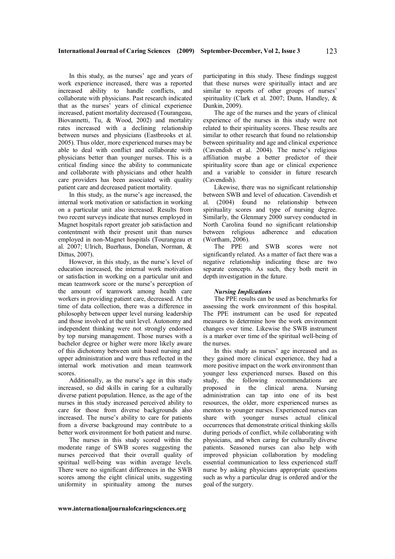In this study, as the nurses' age and years of work experience increased, there was a reported increased ability to handle conflicts, and collaborate with physicians. Past research indicated that as the nurses' years of clinical experience increased, patient mortality decreased (Tourangeau, Biovannetti, Tu, & Wood, 2002) and mortality rates increased with a declining relationship between nurses and physicians (Eastbrooks et al. 2005). Thus older, more experienced nurses may be able to deal with conflict and collaborate with physicians better than younger nurses. This is a critical finding since the ability to communicate and collaborate with physicians and other health care providers has been associated with quality patient care and decreased patient mortality.

In this study, as the nurse's age increased, the internal work motivation or satisfaction in working on a particular unit also increased. Results from two recent surveys indicate that nurses employed in Magnet hospitals report greater job satisfaction and contentment with their present unit than nurses employed in non-Magnet hospitals (Tourangeau et al. 2007; Ulrich, Buerhaus, Donelan, Norman, & Dittus, 2007).

However, in this study, as the nurse's level of education increased, the internal work motivation or satisfaction in working on a particular unit and mean teamwork score or the nurse's perception of the amount of teamwork among health care workers in providing patient care, decreased. At the time of data collection, there was a difference in philosophy between upper level nursing leadership and those involved at the unit level. Autonomy and independent thinking were not strongly endorsed by top nursing management. Those nurses with a bachelor degree or higher were more likely aware of this dichotomy between unit based nursing and upper administration and were thus reflected in the internal work motivation and mean teamwork scores.

Additionally, as the nurse's age in this study increased, so did skills in caring for a culturally diverse patient population. Hence, as the age of the nurses in this study increased perceived ability to care for those from diverse backgrounds also increased. The nurse's ability to care for patients from a diverse background may contribute to a better work environment for both patient and nurse.

The nurses in this study scored within the moderate range of SWB scores suggesting the nurses perceived that their overall quality of spiritual well-being was within average levels. There were no significant differences in the SWB scores among the eight clinical units, suggesting uniformity in spirituality among the nurses

participating in this study. These findings suggest that these nurses were spiritually intact and are similar to reports of other groups of nurses' spirituality (Clark et al. 2007; Dunn, Handley, & Dunkin, 2009).

The age of the nurses and the years of clinical experience of the nurses in this study were not related to their spirituality scores. These results are similar to other research that found no relationship between spirituality and age and clinical experience (Cavendish et al. 2004). The nurse's religious affiliation maybe a better predictor of their spirituality score than age or clinical experience and a variable to consider in future research (Cavendish).

Likewise, there was no significant relationship between SWB and level of education. Cavendish et al. (2004) found no relationship between spirituality scores and type of nursing degree. Similarly, the Glenmary 2000 survey conducted in North Carolina found no significant relationship between religious adherence and education (Wortham, 2006).

The PPE and SWB scores were not significantly related. As a matter of fact there was a negative relationship indicating these are two separate concepts. As such, they both merit in depth investigation in the future.

#### *Nursing Implications*

The PPE results can be used as benchmarks for assessing the work environment of this hospital. The PPE instrument can be used for repeated measures to determine how the work environment changes over time. Likewise the SWB instrument is a marker over time of the spiritual well-being of the nurses.

In this study as nurses' age increased and as they gained more clinical experience, they had a more positive impact on the work environment than younger less experienced nurses. Based on this study, the following recommendations are proposed in the clinical arena. Nursing administration can tap into one of its best resources, the older, more experienced nurses as mentors to younger nurses. Experienced nurses can share with younger nurses actual clinical occurrences that demonstrate critical thinking skills during periods of conflict, while collaborating with physicians, and when caring for culturally diverse patients. Seasoned nurses can also help with improved physician collaboration by modeling essential communication to less experienced staff nurse by asking physicians appropriate questions such as why a particular drug is ordered and/or the goal of the surgery.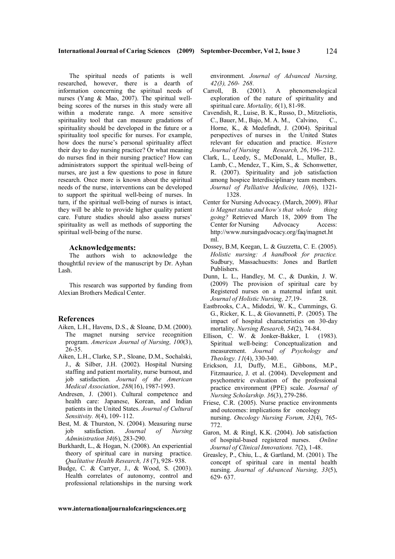The spiritual needs of patients is well researched, however, there is a dearth of information concerning the spiritual needs of nurses (Yang & Mao, 2007). The spiritual wellbeing scores of the nurses in this study were all within a moderate range. A more sensitive spirituality tool that can measure gradations of spirituality should be developed in the future or a spirituality tool specific for nurses. For example, how does the nurse's personal spirituality affect their day to day nursing practice? Or what meaning do nurses find in their nursing practice? How can administrators support the spiritual well-being of nurses, are just a few questions to pose in future research. Once more is known about the spiritual needs of the nurse, interventions can be developed to support the spiritual well-being of nurses. In turn, if the spiritual well-being of nurses is intact, they will be able to provide higher quality patient care. Future studies should also assess nurses' spirituality as well as methods of supporting the spiritual well-being of the nurse.

#### **Acknowledgements:**

The authors wish to acknowledge the thoughtful review of the manuscript by Dr. Ayhan Lash.

This research was supported by funding from Alexian Brothers Medical Center.

## **References**

- Aiken, L.H., Havens, D.S., & Sloane, D.M. (2000). The magnet nursing service recognition program. *American Journal of Nursing, 100*(3), 26-35.
- Aiken, L.H., Clarke, S.P., Sloane, D.M., Sochalski, J., & Silber, J.H. (2002). Hospital Nursing staffing and patient mortality, nurse burnout, and job satisfaction. *Journal of the American Medical Association, 288*(16), 1987-1993.
- Andresen, J. (2001). Cultural competence and health care: Japanese, Korean, and Indian patients in the United States. *Journal of Cultural Sensitivity. 8*(4), 109- 112.
- Best, M. & Thurston, N. (2004). Measuring nurse job satisfaction. *Journal of Nursing Administration 34*(6), 283-290.
- Burkhardt, L., & Hogan, N. (2008). An experiential theory of spiritual care in nursing practice. *Qualitative Health Research, 18* (7), 928- 938.
- Budge, C. & Carryer, J., & Wood, S. (2003). Health correlates of autonomy, control and professional relationships in the nursing work

environment. *Journal of Advanced Nursing, 42(3), 260- 268.*

- Carroll, B. (2001). A phenomenological exploration of the nature of spirituality and spiritual care. *Mortality, 6*(1), 81-98.
- Cavendish, R., Luise, B. K., Russo, D., Mitzeliotis, C., Bauer, M., Bajo, M. A. M., Calvino, C., Horne, K., & Medefindt, J. (2004). Spiritual perspectives of nurses in the United States relevant for education and practice. *Western Journal of Nursing Research, 26*, 196- 212.
- Clark, L., Leedy, S., McDonald, L., Muller, B., Lamb, C., Mendez, T., Kim, S., & Schonwetter, R. (2007). Spirituality and job satisfaction among hospice Interdisciplinary team members. *Journal of Palliative Medicine, 10*(6), 1321- 1328.
- Center for Nursing Advocacy. (March, 2009). *What is Magnet status and how's that whole thing going?* Retrieved March 18, 2009 from The Center for Nursing Advocacy Access: http://www.nursingadvocacy.org/faq/magnet.ht ml.
- Dossey, B.M, Keegan, L. & Guzzetta, C. E. (2005). *Holistic nursing: A handbook for practice.*  Sudbury, Massachuestts: Jones and Bartlett Publishers.
- Dunn, L. L., Handley, M. C., & Dunkin, J. W. (2009) The provision of spiritual care by Registered nurses on a maternal infant unit. *Journal of Holistic Nursing, 27,*19- 28.
- Eastbrooks, C.A., Midodzi, W. K., Cummings, G. G., Ricker, K. L., & Giovannetti, P. (2005). The impact of hospital characteristics on 30-day mortality. *Nursing Research, 54*(2), 74-84.
- Ellison, C. W. & Jonker-Bakker, I. (1983). Spiritual well-being: Conceptualization and measurement. *Journal of Psychology and Theology. 11*(4), 330-340.
- Erickson, J.I, Duffy, M.E., Gibbons, M.P., Fitzmaurice, J. et al. (2004). Development and psychometric evaluation of the professional practice environment (PPE) scale. *Journal of Nursing Scholarship. 36*(3), 279-286.
- Friese, C.R. (2005). Nurse practice environments and outcomes: implications for oncology nursing. *Oncology Nursing Forum, 32*(4), 765- 772.
- Garon, M. & Ringl, K.K. (2004). Job satisfaction of hospital-based registered nurses. *Online Journal of Clinical Innovations. 7*(2), 1-48.
- Greasley, P., Chiu, L., & Gartland, M. (2001). The concept of spiritual care in mental health nursing. *Journal of Advanced Nursing, 33*(5), 629- 637.

**www.internationaljournalofcaringsciences.org**